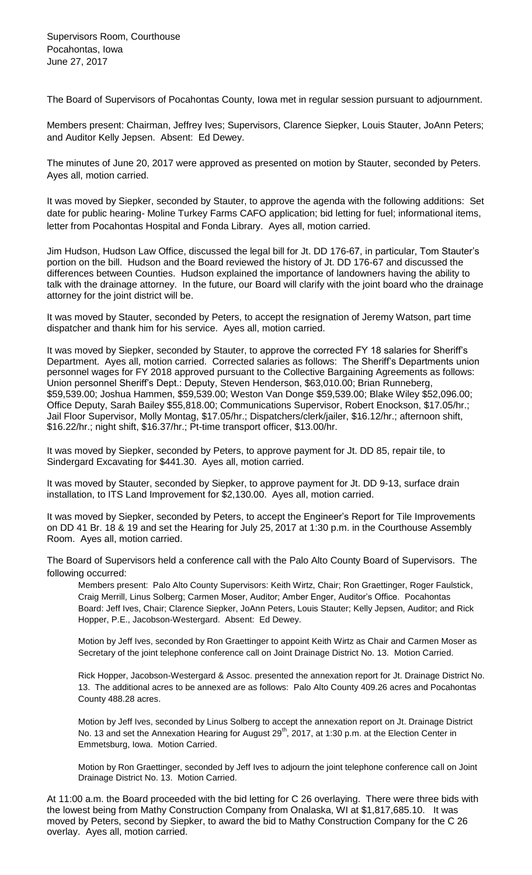The Board of Supervisors of Pocahontas County, Iowa met in regular session pursuant to adjournment.

Members present: Chairman, Jeffrey Ives; Supervisors, Clarence Siepker, Louis Stauter, JoAnn Peters; and Auditor Kelly Jepsen. Absent: Ed Dewey.

The minutes of June 20, 2017 were approved as presented on motion by Stauter, seconded by Peters. Ayes all, motion carried.

It was moved by Siepker, seconded by Stauter, to approve the agenda with the following additions: Set date for public hearing- Moline Turkey Farms CAFO application; bid letting for fuel; informational items, letter from Pocahontas Hospital and Fonda Library. Ayes all, motion carried.

Jim Hudson, Hudson Law Office, discussed the legal bill for Jt. DD 176-67, in particular, Tom Stauter's portion on the bill. Hudson and the Board reviewed the history of Jt. DD 176-67 and discussed the differences between Counties. Hudson explained the importance of landowners having the ability to talk with the drainage attorney. In the future, our Board will clarify with the joint board who the drainage attorney for the joint district will be.

It was moved by Stauter, seconded by Peters, to accept the resignation of Jeremy Watson, part time dispatcher and thank him for his service. Ayes all, motion carried.

It was moved by Siepker, seconded by Stauter, to approve the corrected FY 18 salaries for Sheriff's Department. Ayes all, motion carried. Corrected salaries as follows: The Sheriff's Departments union personnel wages for FY 2018 approved pursuant to the Collective Bargaining Agreements as follows: Union personnel Sheriff's Dept.: Deputy, Steven Henderson, \$63,010.00; Brian Runneberg, \$59,539.00; Joshua Hammen, \$59,539.00; Weston Van Donge \$59,539.00; Blake Wiley \$52,096.00; Office Deputy, Sarah Bailey \$55,818.00; Communications Supervisor, Robert Enockson, \$17.05/hr.; Jail Floor Supervisor, Molly Montag, \$17.05/hr.; Dispatchers/clerk/jailer, \$16.12/hr.; afternoon shift, \$16.22/hr.; night shift, \$16.37/hr.; Pt-time transport officer, \$13.00/hr.

It was moved by Siepker, seconded by Peters, to approve payment for Jt. DD 85, repair tile, to Sindergard Excavating for \$441.30. Ayes all, motion carried.

It was moved by Stauter, seconded by Siepker, to approve payment for Jt. DD 9-13, surface drain installation, to ITS Land Improvement for \$2,130.00. Ayes all, motion carried.

It was moved by Siepker, seconded by Peters, to accept the Engineer's Report for Tile Improvements on DD 41 Br. 18 & 19 and set the Hearing for July 25, 2017 at 1:30 p.m. in the Courthouse Assembly Room. Ayes all, motion carried.

The Board of Supervisors held a conference call with the Palo Alto County Board of Supervisors. The following occurred:

Members present: Palo Alto County Supervisors: Keith Wirtz, Chair; Ron Graettinger, Roger Faulstick, Craig Merrill, Linus Solberg; Carmen Moser, Auditor; Amber Enger, Auditor's Office. Pocahontas Board: Jeff Ives, Chair; Clarence Siepker, JoAnn Peters, Louis Stauter; Kelly Jepsen, Auditor; and Rick Hopper, P.E., Jacobson-Westergard. Absent: Ed Dewey.

Motion by Jeff Ives, seconded by Ron Graettinger to appoint Keith Wirtz as Chair and Carmen Moser as Secretary of the joint telephone conference call on Joint Drainage District No. 13. Motion Carried.

Rick Hopper, Jacobson-Westergard & Assoc. presented the annexation report for Jt. Drainage District No. 13. The additional acres to be annexed are as follows: Palo Alto County 409.26 acres and Pocahontas County 488.28 acres.

Motion by Jeff Ives, seconded by Linus Solberg to accept the annexation report on Jt. Drainage District No. 13 and set the Annexation Hearing for August 29<sup>th</sup>, 2017, at 1:30 p.m. at the Election Center in Emmetsburg, Iowa. Motion Carried.

Motion by Ron Graettinger, seconded by Jeff Ives to adjourn the joint telephone conference call on Joint Drainage District No. 13. Motion Carried.

At 11:00 a.m. the Board proceeded with the bid letting for C 26 overlaying. There were three bids with the lowest being from Mathy Construction Company from Onalaska, WI at \$1,817,685.10. It was moved by Peters, second by Siepker, to award the bid to Mathy Construction Company for the C 26 overlay. Ayes all, motion carried.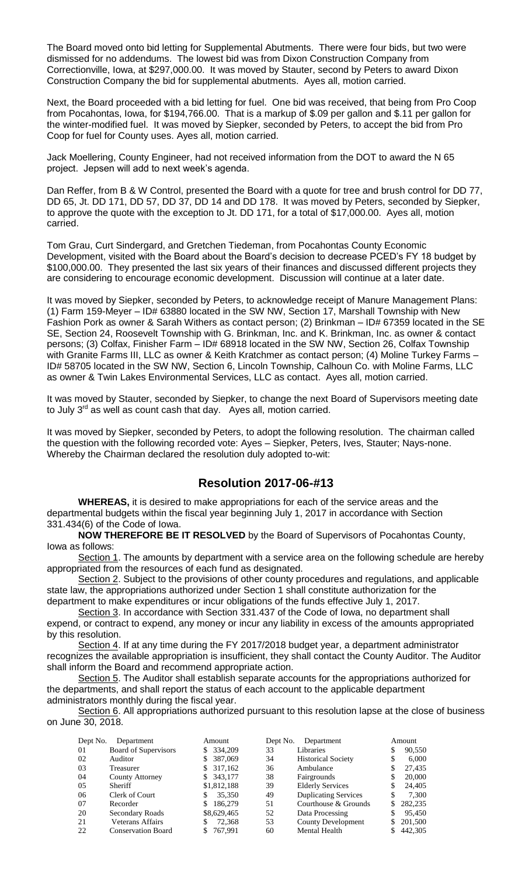The Board moved onto bid letting for Supplemental Abutments. There were four bids, but two were dismissed for no addendums. The lowest bid was from Dixon Construction Company from Correctionville, Iowa, at \$297,000.00. It was moved by Stauter, second by Peters to award Dixon Construction Company the bid for supplemental abutments. Ayes all, motion carried.

Next, the Board proceeded with a bid letting for fuel. One bid was received, that being from Pro Coop from Pocahontas, Iowa, for \$194,766.00. That is a markup of \$.09 per gallon and \$.11 per gallon for the winter-modified fuel. It was moved by Siepker, seconded by Peters, to accept the bid from Pro Coop for fuel for County uses. Ayes all, motion carried.

Jack Moellering, County Engineer, had not received information from the DOT to award the N 65 project. Jepsen will add to next week's agenda.

Dan Reffer, from B & W Control, presented the Board with a quote for tree and brush control for DD 77, DD 65, Jt. DD 171, DD 57, DD 37, DD 14 and DD 178. It was moved by Peters, seconded by Siepker, to approve the quote with the exception to Jt. DD 171, for a total of \$17,000.00. Ayes all, motion carried.

Tom Grau, Curt Sindergard, and Gretchen Tiedeman, from Pocahontas County Economic Development, visited with the Board about the Board's decision to decrease PCED's FY 18 budget by \$100,000.00. They presented the last six years of their finances and discussed different projects they are considering to encourage economic development. Discussion will continue at a later date.

It was moved by Siepker, seconded by Peters, to acknowledge receipt of Manure Management Plans: (1) Farm 159-Meyer – ID# 63880 located in the SW NW, Section 17, Marshall Township with New Fashion Pork as owner & Sarah Withers as contact person; (2) Brinkman – ID# 67359 located in the SE SE, Section 24, Roosevelt Township with G. Brinkman, Inc. and K. Brinkman, Inc. as owner & contact persons; (3) Colfax, Finisher Farm – ID# 68918 located in the SW NW, Section 26, Colfax Township with Granite Farms III, LLC as owner & Keith Kratchmer as contact person; (4) Moline Turkey Farms -ID# 58705 located in the SW NW, Section 6, Lincoln Township, Calhoun Co. with Moline Farms, LLC as owner & Twin Lakes Environmental Services, LLC as contact. Ayes all, motion carried.

It was moved by Stauter, seconded by Siepker, to change the next Board of Supervisors meeting date to July 3<sup>rd</sup> as well as count cash that day. Ayes all, motion carried.

It was moved by Siepker, seconded by Peters, to adopt the following resolution. The chairman called the question with the following recorded vote: Ayes – Siepker, Peters, Ives, Stauter; Nays-none. Whereby the Chairman declared the resolution duly adopted to-wit:

## **Resolution 2017-06-#13**

**WHEREAS,** it is desired to make appropriations for each of the service areas and the departmental budgets within the fiscal year beginning July 1, 2017 in accordance with Section 331.434(6) of the Code of Iowa.

**NOW THEREFORE BE IT RESOLVED** by the Board of Supervisors of Pocahontas County, Iowa as follows:

Section 1. The amounts by department with a service area on the following schedule are hereby appropriated from the resources of each fund as designated.

Section 2. Subject to the provisions of other county procedures and regulations, and applicable state law, the appropriations authorized under Section 1 shall constitute authorization for the department to make expenditures or incur obligations of the funds effective July 1, 2017.

Section 3. In accordance with Section 331.437 of the Code of Iowa, no department shall expend, or contract to expend, any money or incur any liability in excess of the amounts appropriated by this resolution.

Section 4. If at any time during the FY 2017/2018 budget year, a department administrator recognizes the available appropriation is insufficient, they shall contact the County Auditor. The Auditor shall inform the Board and recommend appropriate action.

Section 5. The Auditor shall establish separate accounts for the appropriations authorized for the departments, and shall report the status of each account to the applicable department administrators monthly during the fiscal year.

Section 6. All appropriations authorized pursuant to this resolution lapse at the close of business on June 30, 2018.

| Dept No. | Department                | Amount        | Dept No. | Department                  |     | Amount  |
|----------|---------------------------|---------------|----------|-----------------------------|-----|---------|
| 01       | Board of Supervisors      | \$ 334,209    | 33       | Libraries                   | \$  | 90,550  |
| 02       | Auditor                   | 387,069<br>S. | 34       | <b>Historical Society</b>   | \$  | 6.000   |
| 03       | Treasurer                 | \$ 317,162    | 36       | Ambulance                   | S   | 27,435  |
| 04       | County Attorney           | \$ 343,177    | 38       | Fairgrounds                 | \$  | 20,000  |
| 05       | <b>Sheriff</b>            | \$1,812,188   | 39       | <b>Elderly Services</b>     | \$  | 24,405  |
| 06       | Clerk of Court            | 35,350<br>S   | 49       | <b>Duplicating Services</b> | \$  | 7.300   |
| 07       | Recorder                  | 186,279       | 51       | Courthouse & Grounds        | \$. | 282,235 |
| 20       | Secondary Roads           | \$8,629,465   | 52       | Data Processing             | S   | 95,450  |
| 21       | Veterans Affairs          | 72,368        | 53       | County Development          | \$  | 201,500 |
| 22       | <b>Conservation Board</b> | \$767,991     | 60       | <b>Mental Health</b>        | S   | 442,305 |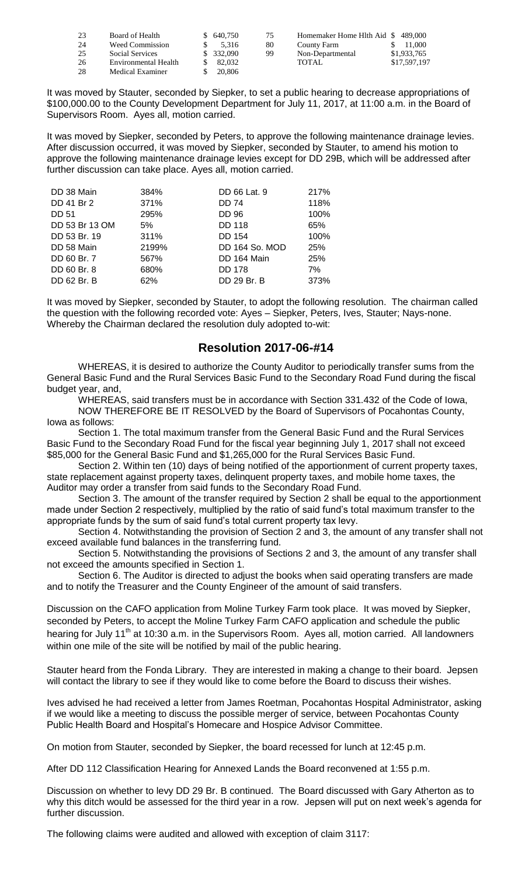| 23 | Board of Health        | \$ 640,750 | 75 | Homemaker Home Hlth Aid \$489,000 |              |
|----|------------------------|------------|----|-----------------------------------|--------------|
| 24 | <b>Weed Commission</b> | 5.316      | 80 | County Farm                       | 11,000       |
| 25 | Social Services        | \$ 332,090 | 99 | Non-Departmental                  | \$1,933,765  |
| 26 | Environmental Health   | 82,032     |    | <b>TOTAL</b>                      | \$17,597,197 |
| 28 | Medical Examiner       | 20,806     |    |                                   |              |

It was moved by Stauter, seconded by Siepker, to set a public hearing to decrease appropriations of \$100,000.00 to the County Development Department for July 11, 2017, at 11:00 a.m. in the Board of Supervisors Room. Ayes all, motion carried.

It was moved by Siepker, seconded by Peters, to approve the following maintenance drainage levies. After discussion occurred, it was moved by Siepker, seconded by Stauter, to amend his motion to approve the following maintenance drainage levies except for DD 29B, which will be addressed after further discussion can take place. Ayes all, motion carried.

| DD 38 Main     | 384%  | DD 66 Lat. 9   | 217% |
|----------------|-------|----------------|------|
| DD 41 Br 2     | 371%  | <b>DD 74</b>   | 118% |
| <b>DD 51</b>   | 295%  | <b>DD 96</b>   | 100% |
| DD 53 Br 13 OM | 5%    | <b>DD 118</b>  | 65%  |
| DD 53 Br. 19   | 311%  | <b>DD 154</b>  | 100% |
| DD 58 Main     | 2199% | DD 164 So. MOD | 25%  |
| DD 60 Br. 7    | 567%  | DD 164 Main    | 25%  |
| DD 60 Br. 8    | 680%  | <b>DD 178</b>  | 7%   |
| DD 62 Br. B    | 62%   | DD 29 Br. B    | 373% |

It was moved by Siepker, seconded by Stauter, to adopt the following resolution. The chairman called the question with the following recorded vote: Ayes – Siepker, Peters, Ives, Stauter; Nays-none. Whereby the Chairman declared the resolution duly adopted to-wit:

## **Resolution 2017-06-#14**

WHEREAS, it is desired to authorize the County Auditor to periodically transfer sums from the General Basic Fund and the Rural Services Basic Fund to the Secondary Road Fund during the fiscal budget year, and,

WHEREAS, said transfers must be in accordance with Section 331.432 of the Code of Iowa, NOW THEREFORE BE IT RESOLVED by the Board of Supervisors of Pocahontas County, Iowa as follows:

Section 1. The total maximum transfer from the General Basic Fund and the Rural Services Basic Fund to the Secondary Road Fund for the fiscal year beginning July 1, 2017 shall not exceed \$85,000 for the General Basic Fund and \$1,265,000 for the Rural Services Basic Fund.

Section 2. Within ten (10) days of being notified of the apportionment of current property taxes, state replacement against property taxes, delinquent property taxes, and mobile home taxes, the Auditor may order a transfer from said funds to the Secondary Road Fund.

Section 3. The amount of the transfer required by Section 2 shall be equal to the apportionment made under Section 2 respectively, multiplied by the ratio of said fund's total maximum transfer to the appropriate funds by the sum of said fund's total current property tax levy.

Section 4. Notwithstanding the provision of Section 2 and 3, the amount of any transfer shall not exceed available fund balances in the transferring fund.

Section 5. Notwithstanding the provisions of Sections 2 and 3, the amount of any transfer shall not exceed the amounts specified in Section 1.

Section 6. The Auditor is directed to adjust the books when said operating transfers are made and to notify the Treasurer and the County Engineer of the amount of said transfers.

Discussion on the CAFO application from Moline Turkey Farm took place. It was moved by Siepker, seconded by Peters, to accept the Moline Turkey Farm CAFO application and schedule the public hearing for July 11<sup>th</sup> at 10:30 a.m. in the Supervisors Room. Ayes all, motion carried. All landowners within one mile of the site will be notified by mail of the public hearing.

Stauter heard from the Fonda Library. They are interested in making a change to their board. Jepsen will contact the library to see if they would like to come before the Board to discuss their wishes.

Ives advised he had received a letter from James Roetman, Pocahontas Hospital Administrator, asking if we would like a meeting to discuss the possible merger of service, between Pocahontas County Public Health Board and Hospital's Homecare and Hospice Advisor Committee.

On motion from Stauter, seconded by Siepker, the board recessed for lunch at 12:45 p.m.

After DD 112 Classification Hearing for Annexed Lands the Board reconvened at 1:55 p.m.

Discussion on whether to levy DD 29 Br. B continued. The Board discussed with Gary Atherton as to why this ditch would be assessed for the third year in a row. Jepsen will put on next week's agenda for further discussion.

The following claims were audited and allowed with exception of claim 3117: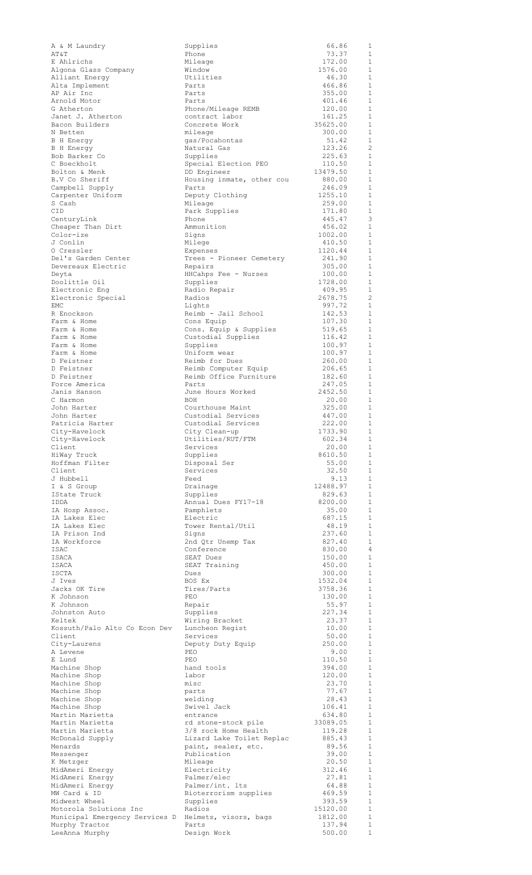| A & M Laundry                                        | Supplies                                          | 66.86              | 1                            |
|------------------------------------------------------|---------------------------------------------------|--------------------|------------------------------|
| AT&T                                                 | Phone                                             | 73.37<br>172.00    | 1<br>$\mathbf{1}$            |
| E Ahlrichs<br>Algona Glass Company                   | Mileage<br>Window                                 | 1576.00            | $\mathbf{1}$                 |
| Alliant Energy                                       | Utilities                                         | 46.30              | $\mathbf{1}$                 |
| Alta Implement                                       | Parts                                             | 466.86             | 1                            |
| AP Air Inc                                           | Parts                                             | 355.00             | 1                            |
| Arnold Motor                                         | Parts                                             | 401.46             | 1                            |
| G Atherton                                           | Phone/Mileage REMB                                | 120.00             | 1                            |
| Janet J. Atherton                                    | contract labor<br>Concrete Work                   | 161.25<br>35625.00 | 1<br>$\mathbf{1}$            |
| Bacon Builders<br>N Betten                           | mileage                                           | 300.00             | 1                            |
| B H Energy                                           | gas/Pocahontas                                    | 51.42              | $\mathbf{1}$                 |
| B H Energy                                           | Natural Gas                                       | 123.26             | $\overline{c}$               |
| Bob Barker Co                                        | Supplies                                          | 225.63             | 1                            |
| C Boeckholt                                          | Special Election PEO                              | 110.50             | 1                            |
| Bolton & Menk                                        | DD Engineer                                       | 13479.50           | 1                            |
| B.V Co Sheriff<br>Campbell Supply                    | Housing inmate, other cou<br>Parts                | 880.00<br>246.09   | 1<br>1                       |
| Carpenter Uniform                                    | Deputy Clothing                                   | 1255.10            | 1                            |
| S Cash                                               | Mileage                                           | 259.00             | 1                            |
| CID                                                  | Park Supplies                                     | 171.80             | 1                            |
| CenturyLink                                          | Phone                                             | 445.47             | 3                            |
| Cheaper Than Dirt                                    | Ammunition                                        | 456.02             | 1                            |
| Color-ize                                            | Signs                                             | 1002.00            | $\mathbf{1}$<br>1            |
| J Conlin<br>0 Cressler                               | Milege<br>Expenses                                | 410.50<br>1120.44  | 1                            |
| Del's Garden Center                                  | Trees - Pioneer Cemetery                          | 241.90             | 1                            |
| Devereaux Electric                                   | Repairs                                           | 305.00             | 1                            |
| Deyta                                                | HHCahps Fee - Nurses                              | 100.00             | 1                            |
| Doolittle Oil                                        | Supplies                                          | 1728.00            | 1                            |
| Electronic Eng                                       | Radio Repair                                      | 409.95             | 1                            |
| Electronic Special                                   | Radios                                            | 2678.75            | 2                            |
| EMC<br>R Enockson                                    | Lights<br>Reimb - Jail School                     | 997.72<br>142.53   | $\mathbf{1}$<br>$\mathbf{1}$ |
| Farm & Home                                          | Cons Equip                                        | 107.30             | $\mathbf{1}$                 |
| Farm & Home                                          | Cons. Equip & Supplies                            | 519.65             | $\mathbf{1}$                 |
| Farm & Home                                          | Custodial Supplies                                | 116.42             | $\mathbf{1}$                 |
| Farm & Home                                          | Supplies                                          | 100.97             | $\mathbf{1}$                 |
| Farm & Home                                          | Uniform wear                                      | 100.97             | $\mathbf{1}$                 |
| D Feistner                                           | Reimb for Dues                                    | 260.00             | $\mathbf{1}$                 |
| D Feistner<br>D Feistner                             | Reimb Computer Equip<br>Reimb Office Furniture    | 206.65<br>182.60   | $\mathbf{1}$<br>$\mathbf{1}$ |
| Force America                                        | Parts                                             | 247.05             | $\mathbf{1}$                 |
| Janis Hanson                                         | June Hours Worked                                 | 2452.50            | 1                            |
| C Harmon                                             | <b>BOH</b>                                        | 20.00              | $\mathbf{1}$                 |
| John Harter                                          | Courthouse Maint                                  | 325.00             | 1                            |
| John Harter                                          | Custodial Services                                | 447.00             | $\mathbf{1}$                 |
| Patricia Harter                                      | Custodial Services                                | 222.00             | $\mathbf{1}$                 |
| City-Havelock<br>City-Havelock                       | City Clean-up<br>Utilities/RUT/FTM                | 1733.90<br>602.34  | $\mathbf{1}$<br>1            |
| Client                                               | Services                                          | 20.00              | 1                            |
| HiWay Truck                                          | Supplies                                          | 8610.50            | 1                            |
| Hoffman Filter                                       | Disposal Ser                                      | 55.00              | 1                            |
| Client                                               | Services                                          | 32.50              | 1                            |
| J Hubbell                                            | Feed                                              | 9.13               | 1                            |
| I & S Group                                          | Drainage                                          | 12488.97           | 1                            |
| IState Truck<br>IDDA                                 | Supplies<br>Annual Dues FY17-18                   | 829.63<br>8200.00  | $\mathbf{1}$<br>$\mathbf{1}$ |
| IA Hosp Assoc.                                       | Pamphlets                                         | 35.00              | 1                            |
| IA Lakes Elec                                        | Electric                                          | 687.15             | $\mathbf{1}$                 |
| IA Lakes Elec                                        | Tower Rental/Util                                 | 48.19              | $\mathbf{1}$                 |
| IA Prison Ind                                        | Signs                                             | 237.60             | 1                            |
| IA Workforce                                         | 2nd Qtr Unemp Tax                                 | 827.40             | 1                            |
| ISAC                                                 | Conference                                        | 830.00             | 4                            |
| ISACA<br>ISACA                                       | SEAT Dues<br>SEAT Training                        | 150.00<br>450.00   | 1<br>1                       |
| ISCTA                                                | Dues                                              | 300.00             | 1                            |
| J Ives                                               | BOS Ex                                            | 1532.04            | 1                            |
| Jacks OK Tire                                        | Tires/Parts                                       | 3758.36            | 1                            |
| K Johnson                                            | PEO                                               | 130.00             | 1                            |
| K Johnson                                            | Repair                                            | 55.97              | 1                            |
| Johnston Auto<br>Keltek                              | Supplies                                          | 227.34<br>23.37    | 1<br>1                       |
| Kossuth/Palo Alto Co Econ Dev                        | Wiring Bracket<br>Luncheon Regist                 | 10.00              | 1                            |
| Client                                               | Services                                          | 50.00              | 1                            |
| City-Laurens                                         | Deputy Duty Equip                                 | 250.00             | $\mathbf{1}$                 |
| A Levene                                             | PEO                                               | 9.00               | 1                            |
| E Lund                                               | PEO                                               | 110.50             | 1                            |
| Machine Shop                                         | hand tools                                        | 394.00             | $\mathbf{1}$                 |
| Machine Shop<br>Machine Shop                         | labor<br>misc                                     | 120.00<br>23.70    | $\mathbf{1}$<br>$\mathbf{1}$ |
| Machine Shop                                         | parts                                             | 77.67              | $\mathbf{1}$                 |
| Machine Shop                                         | welding                                           | 28.43              | $\mathbf{1}$                 |
| Machine Shop                                         | Swivel Jack                                       | 106.41             | $\mathbf{1}$                 |
| Martin Marietta                                      | entrance                                          | 634.80             | $\mathbf{1}$                 |
| Martin Marietta                                      | rd stone-stock pile                               | 33089.05           | $\mathbf{1}$                 |
| Martin Marietta<br>McDonald Supply                   | 3/8 rock Home Health<br>Lizard Lake Toilet Replac | 119.28<br>885.43   | $\mathbf{1}$<br>$\mathbf{1}$ |
| Menards                                              | paint, sealer, etc.                               | 89.56              | $\mathbf{1}$                 |
| Messenger                                            | Publication                                       | 39.00              | $\mathbf{1}$                 |
| K Metzger                                            | Mileage                                           | 20.50              | $\mathbf{1}$                 |
| MidAmeri Energy                                      | Electricity                                       | 312.46             | $\mathbf{1}$                 |
| MidAmeri Energy                                      | Palmer/elec                                       | 27.81              | 1                            |
| MidAmeri Energy                                      | Palmer/int. lts                                   | 64.88              | 1                            |
| MW Card & ID<br>Midwest Wheel                        | Bioterrorism supplies<br>Supplies                 | 469.59<br>393.59   | 1<br>$\mathbf{1}$            |
| Motorola Solutions Inc                               |                                                   |                    | 1                            |
|                                                      | Radios                                            | 15120.00           |                              |
| Municipal Emergency Services D Helmets, visors, bags |                                                   | 1812.00            | $\mathbf{1}$                 |
| Murphy Tractor<br>LeeAnna Murphy                     | Parts<br>Design Work                              | 137.94<br>500.00   | 1<br>$\mathbf{1}$            |